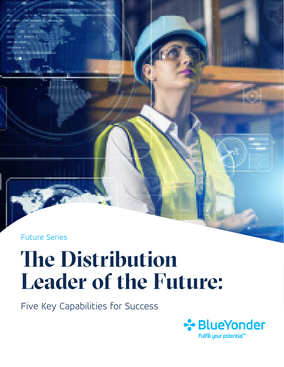Future Series

# **The Distribution Leader of the Future:**

Five Key Capabilities for Success

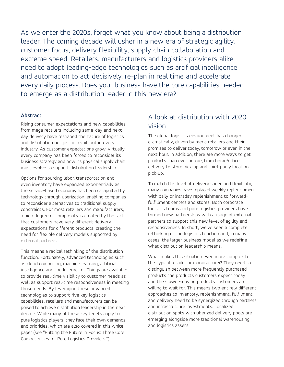As we enter the 2020s, forget what you know about being a distribution leader. The coming decade will usher in a new era of strategic agility, customer focus, delivery flexibility, supply chain collaboration and extreme speed. Retailers, manufacturers and logistics providers alike need to adopt leading-edge technologies such as artificial intelligence and automation to act decisively, re-plan in real time and accelerate every daily process. Does your business have the core capabilities needed to emerge as a distribution leader in this new era?

#### **Abstract**

Rising consumer expectations and new capabilities from mega retailers including same-day and nextday delivery have reshaped the nature of logistics and distribution not just in retail, but in every industry. As customer expectations grow, virtually every company has been forced to reconsider its business strategy and how its physical supply chain must evolve to support distribution leadership.

Options for sourcing labor, transportation and even inventory have expanded exponentially as the service-based economy has been catapulted by technology through uberization, enabling companies to reconsider alternatives to traditional supply constraints. For most retailers and manufacturers, a high degree of complexity is created by the fact that customers have very different delivery expectations for different products, creating the need for flexible delivery models supported by external partners.

This means a radical rethinking of the distribution function. Fortunately, advanced technologies such as cloud computing, machine learning, artificial intelligence and the Internet of Things are available to provide real-time visibility to customer needs as well as support real-time responsiveness in meeting those needs. By leveraging these advanced technologies to support five key logistics capabilities, retailers and manufacturers can be poised to achieve distribution leadership in the next decade. While many of these key tenets apply to pure logistics players, they face their own demands and priorities, which are also covered in this white paper (see "Putting the Future in Focus: Three Core Competencies for Pure Logistics Providers.")

### A look at distribution with 2020 vision

The global logistics environment has changed dramatically, driven by mega retailers and their promises to deliver today, tomorrow or even in the next hour. In addition, there are more ways to get products than ever before, from home/office delivery to store pick-up and third-party location pick-up.

To match this level of delivery speed and flexibility, many companies have replaced weekly replenishment with daily or intraday replenishment to forwardfulfillment centers and stores. Both corporate logistics teams and pure logistics providers have formed new partnerships with a range of external partners to support this new level of agility and responsiveness. In short, we've seen a complete rethinking of the logistics function and, in many cases, the larger business model as we redefine what distribution leadership means.

What makes this situation even more complex for the typical retailer or manufacturer? They need to distinguish between more frequently purchased products the products customers expect today and the slower-moving products customers are willing to wait for. This means two entirely different approaches to inventory, replenishment, fulfilment and delivery need to be synergized through partners and infrastructure investments. Localized distribution spots with uberized delivery pools are emerging alongside more traditional warehousing and logistics assets.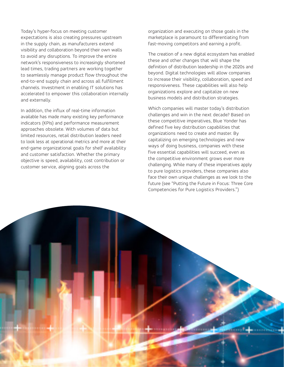Today's hyper-focus on meeting customer expectations is also creating pressures upstream in the supply chain, as manufacturers extend visibility and collaboration beyond their own walls to avoid any disruptions. To improve the entire network's responsiveness to increasingly shortened lead times, trading partners are working together to seamlessly manage product flow throughout the end-to-end supply chain and across all fulfillment channels. Investment in enabling IT solutions has accelerated to empower this collaboration internally and externally.

In addition, the influx of real-time information available has made many existing key performance indicators (KPIs) and performance measurement approaches obsolete. With volumes of data but limited resources, retail distribution leaders need to look less at operational metrics and more at their end-game organizational goals for shelf availability and customer satisfaction. Whether the primary objective is speed, availability, cost contribution or customer service, aligning goals across the

organization and executing on those goals in the marketplace is paramount to differentiating from fast-moving competitors and earning a profit.

The creation of a new digital ecosystem has enabled these and other changes that will shape the definition of distribution leadership in the 2020s and beyond. Digital technologies will allow companies to increase their visibility, collaboration, speed and responsiveness. These capabilities will also help organizations explore and capitalize on new business models and distribution strategies.

Which companies will master today's distribution challenges and win in the next decade? Based on these competitive imperatives, Blue Yonder has defined five key distribution capabilities that organizations need to create and master. By capitalizing on emerging technologies and new ways of doing business, companies with these five essential capabilities will succeed, even as the competitive environment grows ever more challenging. While many of these imperatives apply to pure logistics providers, these companies also face their own unique challenges as we look to the future (see "Putting the Future in Focus: Three Core Competencies for Pure Logistics Providers.")

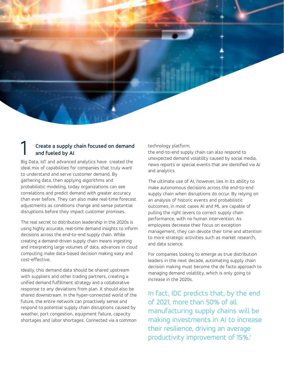#### 1 **Create a supply chain focused on demand and fueled by AI**

Big Data, IoT and advanced analytics have created the ideal mix of capabilities for companies that truly want to understand and serve customer demand. By gathering data, then applying algorithms and probabilistic modeling, today organizations can see correlations and predict demand with greater accuracy than ever before. They can also make real-time forecast adjustments as conditions change and sense potential disruptions before they impact customer promises.

The real secret to distribution leadership in the 2020s is using highly accurate, real-time demand insights to inform decisions across the end-to-end supply chain. While creating a demand-driven supply chain means ingesting and interpreting large volumes of data, advances in cloud computing make data-based decision making easy and cost-effective.

Ideally, this demand data should be shared upstream with suppliers and other trading partners, creating a unified demand fulfillment strategy and a collaborative response to any deviations from plan. It should also be shared downstream. In the hyper-connected world of the future, the entire network can proactively sense and respond to potential supply chain disruptions caused by weather, port congestion, equipment failure, capacity shortages and labor shortages. Connected via a common technology platform,

the end-to-end supply chain can also respond to unexpected demand volatility caused by social media, news reports or special events that are identified via AI and analytics.

The ultimate use of AI, however, lies in its ability to make autonomous decisions across the end-to-end supply chain when disruptions do occur. By relying on an analysis of historic events and probabilistic outcomes, in most cases AI and ML are capable of pulling the right levers to correct supply chain performance, with no human intervention. As employees decrease their focus on exception management, they can devote their time and attention to more strategic activities such as market research, and data science.

For companies looking to emerge as true distribution leaders in the next decade, automating supply chain decision making must become the de facto approach to managing demand volatility, which is only going to increase in the 2020s.

In fact, IDC predicts that, by the end of 2021, more than 50% of all manufacturing supply chains will be making investments in AI to increase their resilience, driving an average productivity improvement of 15%.<sup>1</sup>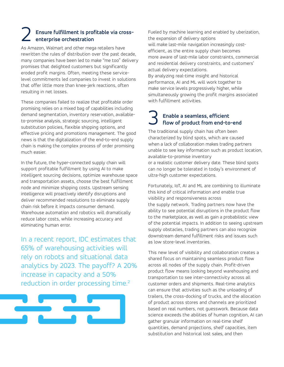#### 2 **Ensure fulfillment Is profitable via crossenterprise orchestration**

As Amazon, Walmart and other mega retailers have rewritten the rules of distribution over the past decade, many companies have been led to make "me too" delivery promises that delighted customers but significantly eroded profit margins. Often, meeting these servicelevel commitments led companies to invest in solutions that offer little more than knee-jerk reactions, often resulting in net losses.

These companies failed to realize that profitable order promising relies on a mixed bag of capabilities including demand segmentation, inventory reservation, availableto-promise analysis, strategic sourcing, intelligent substitution policies, flexible shipping options, and effective pricing and promotions management. The good news is that the digitalization of the end-to-end supply chain is making the complex process of order promising much easier.

In the future, the hyper-connected supply chain will support profitable fulfillment by using AI to make intelligent sourcing decisions, optimize warehouse space and transportation assets, choose the best fulfillment node and minimize shipping costs. Upstream sensing intelligence will proactively identify disruptions and deliver recommended resolutions to eliminate supply chain risk before it impacts consumer demand. Warehouse automation and robotics will dramatically reduce labor costs, while increasing accuracy and eliminating human error.

In a recent report, IDC estimates that 65% of warehousing activities will rely on robots and situational data analytics by 2023. The payoff? A 20% increase in capacity and a 50% reduction in order processing time.<sup>2</sup>



Fueled by machine learning and enabled by uberization, the expansion of delivery options will make last-mile navigation increasingly costefficient, as the entire supply chain becomes more aware of last-mile labor constraints, commercial and residential delivery constraints, and customers' actual delivery expectations.

By analyzing real-time insight and historical performance, AI and ML will work together to make service levels progressively higher, while simultaneously growing the profit margins associated with fulfillment activities.

## 3 **Enable a seamless, efficient flow of product from end-to-end**

The traditional supply chain has often been characterized by blind spots, which are caused when a lack of collaboration makes trading partners unable to see key information such as product location, available-to-promise inventory or a realistic customer delivery date. These blind spots can no longer be tolerated in today's environment of ultra-high customer expectations.

Fortunately, IoT, AI and ML are combining to illuminate this kind of critical information and enable true visibility and responsiveness across the supply network. Trading partners now have the ability to see potential disruptions in the product flow to the marketplace, as well as gain a probabilistic view of the potential impacts. In addition to seeing upstream supply obstacles, trading partners can also recognize downstream demand fulfillment risks and issues such as low store-level inventories.

This new level of visibility and collaboration creates a shared focus on maintaining seamless product flow across all nodes of the supply chain. Profit-driven product flow means looking beyond warehousing and transportation to see inter-connectivity across all customer orders and shipments. Real-time analytics can ensure that activities such as the unloading of trailers, the cross-docking of trucks, and the allocation of product across stores and channels are prioritized based on real numbers, not guesswork. Because data science exceeds the abilities of human cognition, AI can gather granular information on real-time shelf quantities, demand projections, shelf capacities, item substitution and historical lost sales, and then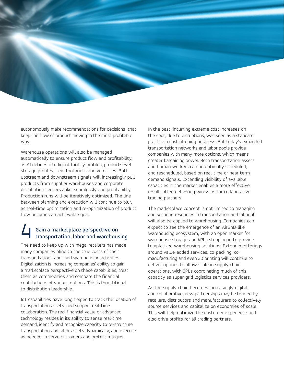

autonomously make recommendations for decisions that keep the flow of product moving in the most profitable way.

Warehouse operations will also be managed automatically to ensure product flow and profitability, as AI defines intelligent facility profiles, product-level storage profiles, item footprints and velocities. Both upstream and downstream signals will increasingly pull products from supplier warehouses and corporate distribution centers alike, seamlessly and profitability. Production runs will be iteratively optimized. The line between planning and execution will continue to blur, as real-time optimization and re-optimization of product flow becomes an achievable goal.

## 4 **Gain a marketplace perspective on transportation, labor and warehousing**

The need to keep up with mega-retailers has made many companies blind to the true costs of their transportation, labor and warehousing activities. Digitalization is increasing companies' ability to gain a marketplace perspective on these capabilities, treat them as commodities and compare the financial contributions of various options. This is foundational to distribution leadership.

IoT capabilities have long helped to track the location of transportation assets, and support real-time collaboration. The real financial value of advanced technology resides in its ability to sense real-time demand, identify and recognize capacity to re-structure transportation and labor assets dynamically, and execute as needed to serve customers and protect margins.

In the past, incurring extreme cost increases on the spot, due to disruptions, was seen as a standard practice a cost of doing business. But today's expanded transportation networks and labor pools provide companies with many more options, which means greater bargaining power. Both transportation assets and human workers can be optimally scheduled, and rescheduled, based on real-time or near-term demand signals. Extending visibility of available capacities in the market enables a more effective result, often delivering win-wins for collaborative trading partners.

The marketplace concept is not limited to managing and securing resources in transportation and labor; it will also be applied to warehousing. Companies can expect to see the emergence of an AirBnB-like warehousing ecosystem, with an open market for warehouse storage and 4PLs stepping in to provide templatized warehousing solutions. Extended offerings around value-added services, co-packing, comanufacturing and even 3D printing will continue to deliver options to allow scale in supply chain operations, with 3PLs coordinating much of this capacity as super-grid logistics services providers.

As the supply chain becomes increasingly digital and collaborative, new partnerships may be formed by retailers, distributors and manufacturers to collectively source services and capitalize on economies of scale. This will help optimize the customer experience and also drive profits for all trading partners.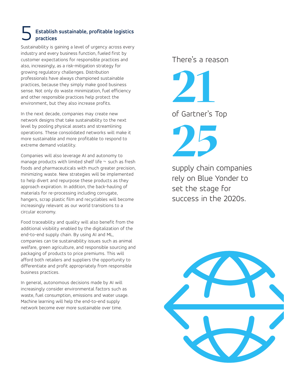#### 5 **Establish sustainable, profitable logistics practices**

Sustainability is gaining a level of urgency across every industry and every business function, fueled first by customer expectations for responsible practices and also, increasingly, as a risk-mitigation strategy for growing regulatory challenges. Distribution professionals have always championed sustainable practices, because they simply make good business sense. Not only do waste minimization, fuel efficiency and other responsible practices help protect the environment, but they also increase profits.

In the next decade, companies may create new network designs that take sustainability to the next level by pooling physical assets and streamlining operations. These consolidated networks will make it more sustainable and more profitable to respond to extreme demand volatility.

Companies will also leverage AI and autonomy to manage products with limited shelf life  $\neg$  such as fresh foods and pharmaceuticals with much greater precision, minimizing waste. New strategies will be implemented to help divert and repurpose these products as they approach expiration. In addition, the back-hauling of materials for re-processing including corrugate, hangers, scrap plastic film and recyclables will become increasingly relevant as our world transitions to a circular economy.

Food traceability and quality will also benefit from the additional visibility enabled by the digitalization of the end-to-end supply chain. By using AI and ML, companies can tie sustainability issues such as animal welfare, green agriculture, and responsible sourcing and packaging of products to price premiums. This will afford both retailers and suppliers the opportunity to differentiate and profit appropriately from responsible business practices.

In general, autonomous decisions made by AI will increasingly consider environmental factors such as waste, fuel consumption, emissions and water usage. Machine learning will help the end-to-end supply network become ever more sustainable over time.

There's a reason

**21** of Gartner's Top

**25**

supply chain companies rely on Blue Yonder to set the stage for success in the 2020s.

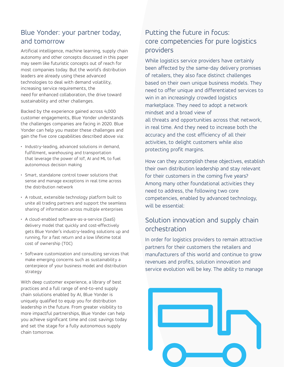#### Blue Yonder: your partner today, and tomorrow

Artificial intelligence, machine learning, supply chain autonomy and other concepts discussed in this paper may seem like futuristic concepts out of reach for most companies today. But the world's distribution leaders are already using these advanced technologies to deal with demand volatility, increasing service requirements, the need for enhanced collaboration, the drive toward sustainability and other challenges.

Backed by the experience gained across 4,000 customer engagements, Blue Yonder understands the challenges companies are facing in 2020. Blue Yonder can help you master these challenges and gain the five core capabilities described above via:

- Industry-leading, advanced solutions in demand, fulfillment, warehousing and transportation that leverage the power of IoT, AI and ML to fuel autonomous decision making
- Smart, standalone control tower solutions that sense and manage exceptions in real time across the distribution network
- A robust, extensible technology platform built to unite all trading partners and support the seamless sharing of information across multiple enterprises
- A cloud-enabled software-as-a-service (SaaS) delivery model that quickly and cost-effectively gets Blue Yonder's industry-leading solutions up and running, for a fast return and a low lifetime total cost of ownership (TOC)
- Software customization and consulting services that make emerging concerns such as sustainability a centerpiece of your business model and distribution strategy

With deep customer experience, a library of best practices and a full range of end-to-end supply chain solutions enabled by AI, Blue Yonder is uniquely qualified to equip you for distribution leadership in the future. From greater visibility to more impactful partnerships, Blue Yonder can help you achieve significant time and cost savings today and set the stage for a fully autonomous supply chain tomorrow.

### Putting the future in focus: core competencies for pure logistics providers

While logistics service providers have certainly been affected by the same-day delivery promises of retailers, they also face distinct challenges based on their own unique business models. They need to offer unique and differentiated services to win in an increasingly crowded logistics marketplace. They need to adopt a network mindset and a broad view of all threats and opportunities across that network, in real time. And they need to increase both the accuracy and the cost efficiency of all their activities, to delight customers while also protecting profit margins.

How can they accomplish these objectives, establish their own distribution leadership and stay relevant for their customers in the coming five years? Among many other foundational activities they need to address, the following two core competencies, enabled by advanced technology, will be essential:

#### Solution innovation and supply chain orchestration

In order for logistics providers to remain attractive partners for their customers the retailers and manufacturers of this world and continue to grow revenues and profits, solution innovation and service evolution will be key. The ability to manage

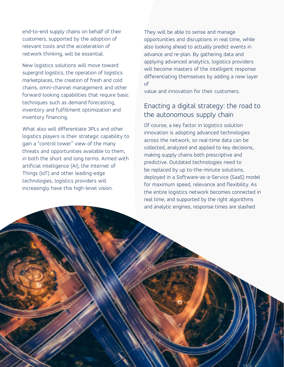end-to-end supply chains on behalf of their customers, supported by the adoption of relevant tools and the acceleration of network thinking, will be essential.

New logistics solutions will move toward supergrid logistics, the operation of logistics marketplaces, the creation of fresh and cold chains, omni-channel management and other forward-looking capabilities that require basic techniques such as demand forecasting, inventory and fulfillment optimization and inventory financing.

What also will differentiate 3PLs and other logistics players is their strategic capability to gain a "control tower" view of the many threats and opportunities available to them, in both the short and long terms. Armed with artificial intelligence (AI), the Internet of Things (IoT) and other leading-edge technologies, logistics providers will increasingly have this high-level vision.

They will be able to sense and manage opportunities and disruptions in real time, while also looking ahead to actually predict events in advance and re-plan. By gathering data and applying advanced analytics, logistics providers will become masters of the intelligent response differentiating themselves by adding a new layer of

value and innovation for their customers.

### Enacting a digital strategy: the road to the autonomous supply chain

Of course, a key factor in logistics solution innovation is adopting advanced technologies across the network, so real-time data can be collected, analyzed and applied to key decisions, making supply chains both prescriptive and predictive. Outdated technologies need to be replaced by up to-the-minute solutions, deployed in a Software-as-a-Service (SaaS) model for maximum speed, relevance and flexibility. As the entire logistics network becomes connected in real time, and supported by the right algorithms and analytic engines, response times are slashed